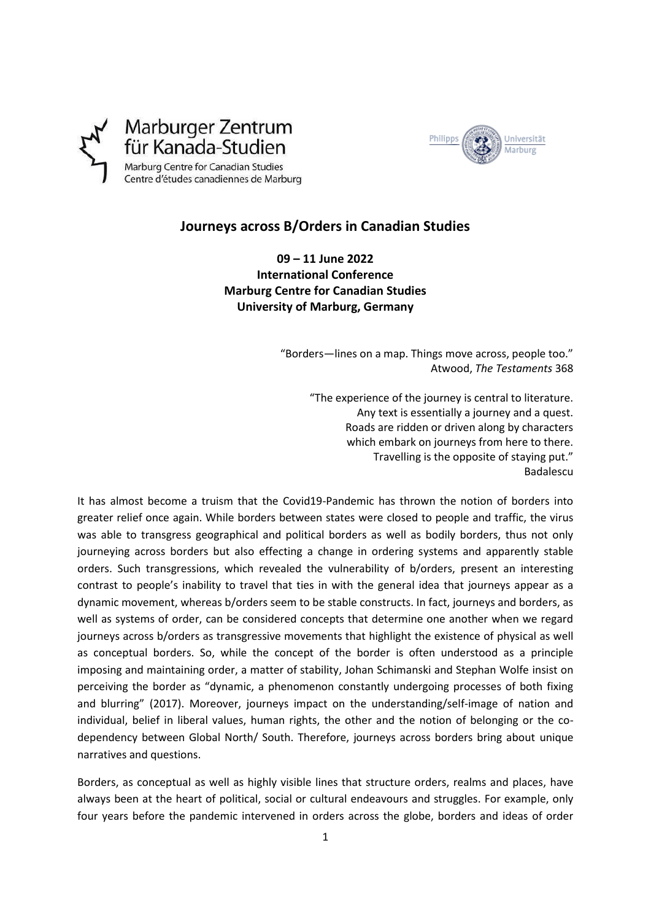

Marburger Zentrum für Kanada-Studien Marburg Centre for Canadian Studies Centre d'études canadiennes de Marburg

## **Journeys across B/Orders in Canadian Studies**

**09 – 11 June 2022 International Conference Marburg Centre for Canadian Studies University of Marburg, Germany**

> "Borders—lines on a map. Things move across, people too." Atwood, *The Testaments* 368

> > "The experience of the journey is central to literature. Any text is essentially a journey and a quest. Roads are ridden or driven along by characters which embark on journeys from here to there. Travelling is the opposite of staying put." Badalescu

It has almost become a truism that the Covid19-Pandemic has thrown the notion of borders into greater relief once again. While borders between states were closed to people and traffic, the virus was able to transgress geographical and political borders as well as bodily borders, thus not only journeying across borders but also effecting a change in ordering systems and apparently stable orders. Such transgressions, which revealed the vulnerability of b/orders, present an interesting contrast to people's inability to travel that ties in with the general idea that journeys appear as a dynamic movement, whereas b/orders seem to be stable constructs. In fact, journeys and borders, as well as systems of order, can be considered concepts that determine one another when we regard journeys across b/orders as transgressive movements that highlight the existence of physical as well as conceptual borders. So, while the concept of the border is often understood as a principle imposing and maintaining order, a matter of stability, Johan Schimanski and Stephan Wolfe insist on perceiving the border as "dynamic, a phenomenon constantly undergoing processes of both fixing and blurring" (2017). Moreover, journeys impact on the understanding/self-image of nation and individual, belief in liberal values, human rights, the other and the notion of belonging or the codependency between Global North/ South. Therefore, journeys across borders bring about unique narratives and questions.

Borders, as conceptual as well as highly visible lines that structure orders, realms and places, have always been at the heart of political, social or cultural endeavours and struggles. For example, only four years before the pandemic intervened in orders across the globe, borders and ideas of order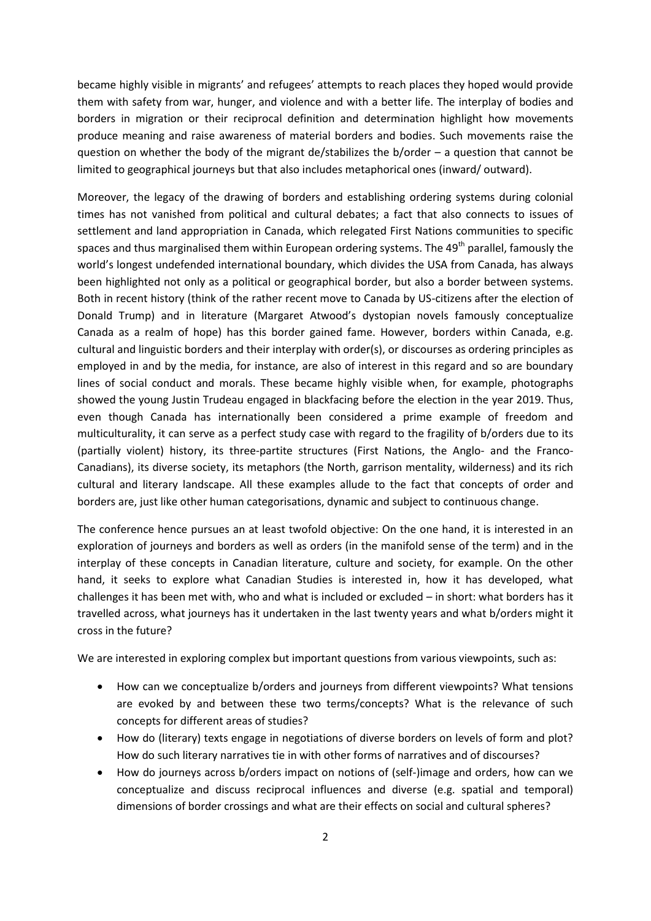became highly visible in migrants' and refugees' attempts to reach places they hoped would provide them with safety from war, hunger, and violence and with a better life. The interplay of bodies and borders in migration or their reciprocal definition and determination highlight how movements produce meaning and raise awareness of material borders and bodies. Such movements raise the question on whether the body of the migrant de/stabilizes the b/order – a question that cannot be limited to geographical journeys but that also includes metaphorical ones (inward/ outward).

Moreover, the legacy of the drawing of borders and establishing ordering systems during colonial times has not vanished from political and cultural debates; a fact that also connects to issues of settlement and land appropriation in Canada, which relegated First Nations communities to specific spaces and thus marginalised them within European ordering systems. The 49<sup>th</sup> parallel, famously the world's longest undefended international boundary, which divides the USA from Canada, has always been highlighted not only as a political or geographical border, but also a border between systems. Both in recent history (think of the rather recent move to Canada by US-citizens after the election of Donald Trump) and in literature (Margaret Atwood's dystopian novels famously conceptualize Canada as a realm of hope) has this border gained fame. However, borders within Canada, e.g. cultural and linguistic borders and their interplay with order(s), or discourses as ordering principles as employed in and by the media, for instance, are also of interest in this regard and so are boundary lines of social conduct and morals. These became highly visible when, for example, photographs showed the young Justin Trudeau engaged in blackfacing before the election in the year 2019. Thus, even though Canada has internationally been considered a prime example of freedom and multiculturality, it can serve as a perfect study case with regard to the fragility of b/orders due to its (partially violent) history, its three-partite structures (First Nations, the Anglo- and the Franco-Canadians), its diverse society, its metaphors (the North, garrison mentality, wilderness) and its rich cultural and literary landscape. All these examples allude to the fact that concepts of order and borders are, just like other human categorisations, dynamic and subject to continuous change.

The conference hence pursues an at least twofold objective: On the one hand, it is interested in an exploration of journeys and borders as well as orders (in the manifold sense of the term) and in the interplay of these concepts in Canadian literature, culture and society, for example. On the other hand, it seeks to explore what Canadian Studies is interested in, how it has developed, what challenges it has been met with, who and what is included or excluded – in short: what borders has it travelled across, what journeys has it undertaken in the last twenty years and what b/orders might it cross in the future?

We are interested in exploring complex but important questions from various viewpoints, such as:

- How can we conceptualize b/orders and journeys from different viewpoints? What tensions are evoked by and between these two terms/concepts? What is the relevance of such concepts for different areas of studies?
- How do (literary) texts engage in negotiations of diverse borders on levels of form and plot? How do such literary narratives tie in with other forms of narratives and of discourses?
- How do journeys across b/orders impact on notions of (self-)image and orders, how can we conceptualize and discuss reciprocal influences and diverse (e.g. spatial and temporal) dimensions of border crossings and what are their effects on social and cultural spheres?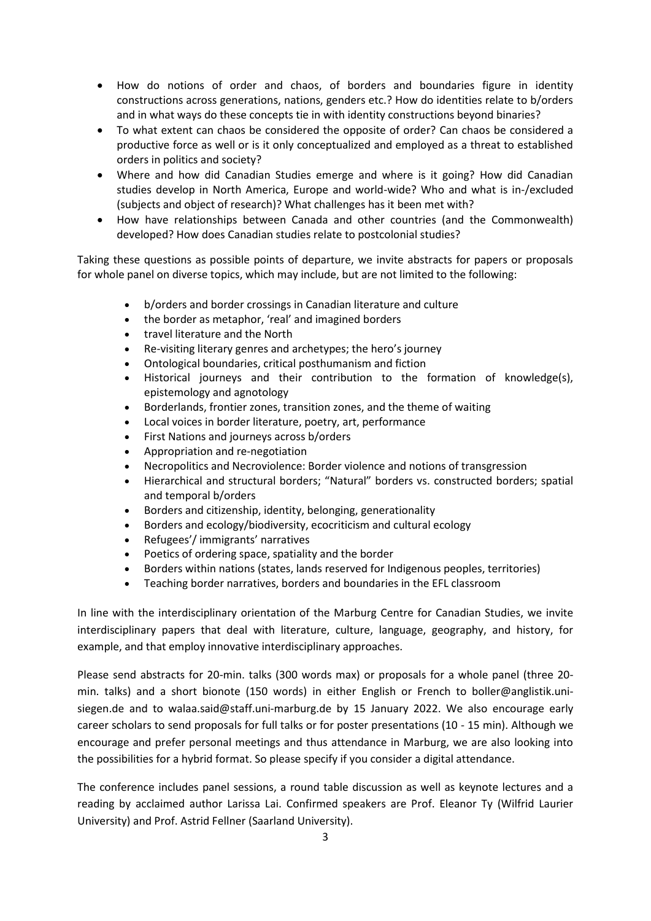- How do notions of order and chaos, of borders and boundaries figure in identity constructions across generations, nations, genders etc.? How do identities relate to b/orders and in what ways do these concepts tie in with identity constructions beyond binaries?
- To what extent can chaos be considered the opposite of order? Can chaos be considered a productive force as well or is it only conceptualized and employed as a threat to established orders in politics and society?
- Where and how did Canadian Studies emerge and where is it going? How did Canadian studies develop in North America, Europe and world-wide? Who and what is in-/excluded (subjects and object of research)? What challenges has it been met with?
- How have relationships between Canada and other countries (and the Commonwealth) developed? How does Canadian studies relate to postcolonial studies?

Taking these questions as possible points of departure, we invite abstracts for papers or proposals for whole panel on diverse topics, which may include, but are not limited to the following:

- b/orders and border crossings in Canadian literature and culture
- the border as metaphor, 'real' and imagined borders
- travel literature and the North
- Re-visiting literary genres and archetypes; the hero's journey
- Ontological boundaries, critical posthumanism and fiction
- Historical journeys and their contribution to the formation of knowledge(s), epistemology and agnotology
- Borderlands, frontier zones, transition zones, and the theme of waiting
- Local voices in border literature, poetry, art, performance
- First Nations and journeys across b/orders
- Appropriation and re-negotiation
- Necropolitics and Necroviolence: Border violence and notions of transgression
- Hierarchical and structural borders; "Natural" borders vs. constructed borders; spatial and temporal b/orders
- Borders and citizenship, identity, belonging, generationality
- Borders and ecology/biodiversity, ecocriticism and cultural ecology
- Refugees'/ immigrants' narratives
- Poetics of ordering space, spatiality and the border
- Borders within nations (states, lands reserved for Indigenous peoples, territories)
- Teaching border narratives, borders and boundaries in the EFL classroom

In line with the interdisciplinary orientation of the Marburg Centre for Canadian Studies, we invite interdisciplinary papers that deal with literature, culture, language, geography, and history, for example, and that employ innovative interdisciplinary approaches.

Please send abstracts for 20-min. talks (300 words max) or proposals for a whole panel (three 20 min. talks) and a short bionote (150 words) in either English or French to boller@anglistik.unisiegen.de and to walaa.said@staff.uni-marburg.de by 15 January 2022. We also encourage early career scholars to send proposals for full talks or for poster presentations (10 - 15 min). Although we encourage and prefer personal meetings and thus attendance in Marburg, we are also looking into the possibilities for a hybrid format. So please specify if you consider a digital attendance.

The conference includes panel sessions, a round table discussion as well as keynote lectures and a reading by acclaimed author Larissa Lai. Confirmed speakers are Prof. Eleanor Ty (Wilfrid Laurier University) and Prof. Astrid Fellner (Saarland University).